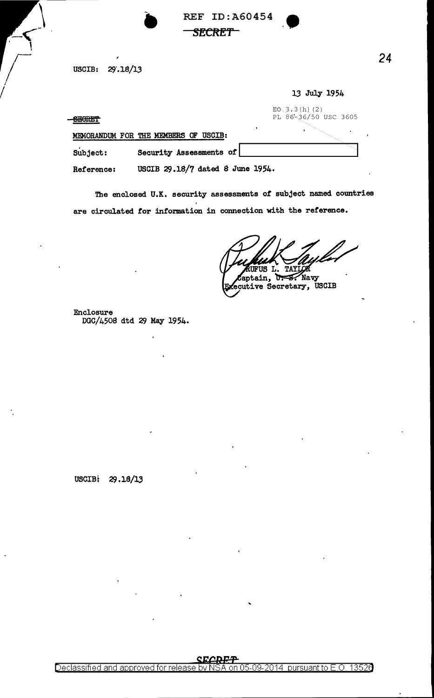**REF ID: A60454 SECRET** 

USCIB: 29'.18/13

-SECRET

|                                      | 13 July 1954                            |
|--------------------------------------|-----------------------------------------|
| <b>CRADEM</b><br>-2001.01            | $E_0$ 3.3(h)(2)<br>PL 86-36/50 USC 3605 |
| MEMORANDUM FOR THE MEMBERS OF USCIB: |                                         |
| Security Assessments of<br>Subject:  |                                         |

USCIB 29.18/7 dated 8 June 1954. Reference:

The enclosed U.K. security assessments of subject named countries are circulated for information in connection with the reference.

RUFUS L. Captain, **U.S. Navy** 

ecutive Secretary, USCIB

Enclosure DGC/4508 dtd 29 May 1954.

USCIB: 29.18/13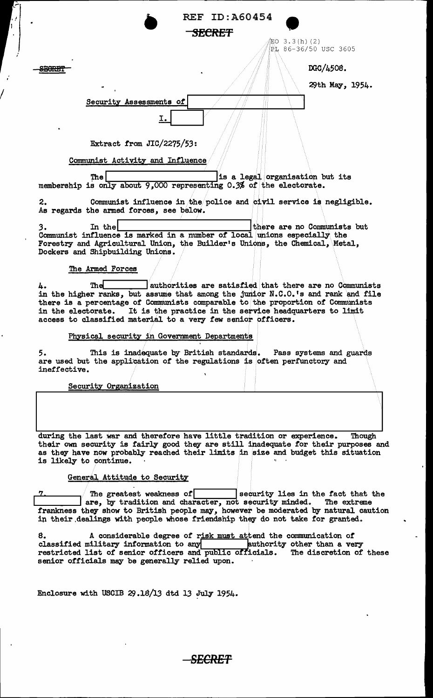| <b>REF ID: A60454</b>                                                                                                                                                                                                                                                                                                                                                                       |
|---------------------------------------------------------------------------------------------------------------------------------------------------------------------------------------------------------------------------------------------------------------------------------------------------------------------------------------------------------------------------------------------|
| <del>SECRET</del>                                                                                                                                                                                                                                                                                                                                                                           |
| $3.3(h)$ (2)<br>EO<br>PL 86-36/50 USC 3605                                                                                                                                                                                                                                                                                                                                                  |
|                                                                                                                                                                                                                                                                                                                                                                                             |
| DGC/4508.                                                                                                                                                                                                                                                                                                                                                                                   |
| 29th May, 1954.                                                                                                                                                                                                                                                                                                                                                                             |
| Security Assessments of                                                                                                                                                                                                                                                                                                                                                                     |
| I.                                                                                                                                                                                                                                                                                                                                                                                          |
|                                                                                                                                                                                                                                                                                                                                                                                             |
| Extract from $JIC/2275/53$ :                                                                                                                                                                                                                                                                                                                                                                |
| Communist Activity and Influence                                                                                                                                                                                                                                                                                                                                                            |
| is a legal organisation but its<br>The                                                                                                                                                                                                                                                                                                                                                      |
| membership is only about 9,000 representing 0.3% of the electorate.                                                                                                                                                                                                                                                                                                                         |
| Communist influence in the police and civil service is negligible.<br>2.<br>As regards the armed forces, see below.                                                                                                                                                                                                                                                                         |
| there are no Communists but<br>3.<br>In the                                                                                                                                                                                                                                                                                                                                                 |
| Communist influence is marked in a number of local unions especially the<br>Forestry and Agricultural Union, the Builder's Unions, the Chemical, Metal,                                                                                                                                                                                                                                     |
| Dockers and Shipbuilding Unions.                                                                                                                                                                                                                                                                                                                                                            |
| The Armed Forces                                                                                                                                                                                                                                                                                                                                                                            |
| authorities are satisfied that there are no Communists<br>Thel<br>4.<br>in the higher ranks, but assume that among the junior N.C.O.'s and rank and file<br>there is a percentage of Communists comparable to the proportion of Communists<br>It is the practice in the service headquarters to limit<br>in the electorate.<br>access to classified material to a very few senior officers. |
| Physical security in Government Departments                                                                                                                                                                                                                                                                                                                                                 |
| 5.<br>This is inadequate by British standards. Pass systems and guards<br>are used but the application of the regulations is often perfunctory and<br>ineffective.                                                                                                                                                                                                                          |
| Security Organization                                                                                                                                                                                                                                                                                                                                                                       |
|                                                                                                                                                                                                                                                                                                                                                                                             |
| during the last war and therefore have little tradition or experience.<br>Though<br>their own security is fairly good they are still inadequate for their purposes and<br>as they have now probably reached their limits in size and budget this situation<br>is likely to continue.                                                                                                        |
| General Attitude to Security                                                                                                                                                                                                                                                                                                                                                                |
| security lies in the fact that the<br>The greatest weakness of                                                                                                                                                                                                                                                                                                                              |
| are, by tradition and character, not security minded.<br>The extreme<br>frankness they show to British people may, however be moderated by natural caution<br>in their dealings with people whose friendship they do not take for granted.                                                                                                                                                  |
| 8.<br>A considerable degree of risk must attend the communication of<br>classified military information to any <b>hume a</b> puthority other than a very<br>restricted list of senior officers and public officials.<br>The discretion of these                                                                                                                                             |

Enclosure with USCIB  $29.18/13$  dtd 13 July 1954.

senior officials may be generally relied upon.

I

.

 $\ddot{\phantom{a}}$ 

 $\mathcal{A}^{\mathcal{A}}$ 

' I

*SECRET*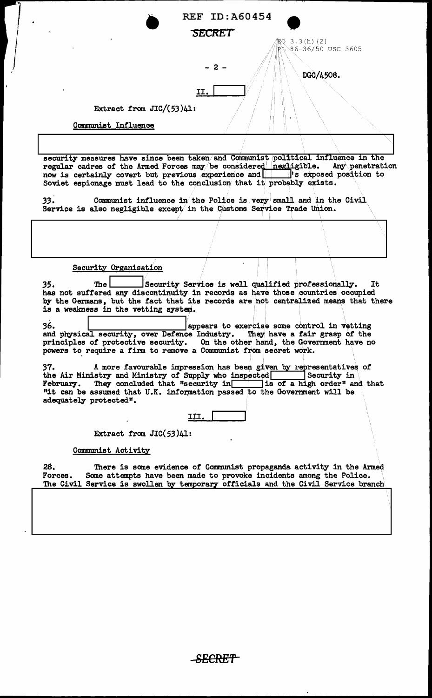| <b>REF ID: A60454</b><br>SECRET                                                                                                                                                                                                                                                                                                                                                                                                                                                                                                                                                                                                                                                                                                                                                                                                                                                                                                                                                                                                                                                                                                                                                                                                                                    |  |
|--------------------------------------------------------------------------------------------------------------------------------------------------------------------------------------------------------------------------------------------------------------------------------------------------------------------------------------------------------------------------------------------------------------------------------------------------------------------------------------------------------------------------------------------------------------------------------------------------------------------------------------------------------------------------------------------------------------------------------------------------------------------------------------------------------------------------------------------------------------------------------------------------------------------------------------------------------------------------------------------------------------------------------------------------------------------------------------------------------------------------------------------------------------------------------------------------------------------------------------------------------------------|--|
| 配O 3.3(h)(2)<br>PL 86-36/50 USC 3605<br>- 2 -<br>DGC/4508.<br>II.                                                                                                                                                                                                                                                                                                                                                                                                                                                                                                                                                                                                                                                                                                                                                                                                                                                                                                                                                                                                                                                                                                                                                                                                  |  |
| Extract from $JIC/(53)41$ :                                                                                                                                                                                                                                                                                                                                                                                                                                                                                                                                                                                                                                                                                                                                                                                                                                                                                                                                                                                                                                                                                                                                                                                                                                        |  |
| Communist Influence                                                                                                                                                                                                                                                                                                                                                                                                                                                                                                                                                                                                                                                                                                                                                                                                                                                                                                                                                                                                                                                                                                                                                                                                                                                |  |
|                                                                                                                                                                                                                                                                                                                                                                                                                                                                                                                                                                                                                                                                                                                                                                                                                                                                                                                                                                                                                                                                                                                                                                                                                                                                    |  |
| security measures have since been taken and Communist political influence in the<br>regular cadres of the Armed Forces may be considered negligible.<br>Any penetration<br>Soviet espionage must lead to the conclusion that it probably exists.<br>33.<br>Communist influence in the Police is very small and in the Civil<br>Service is also negligible except in the Customs Service Trade Union.                                                                                                                                                                                                                                                                                                                                                                                                                                                                                                                                                                                                                                                                                                                                                                                                                                                               |  |
|                                                                                                                                                                                                                                                                                                                                                                                                                                                                                                                                                                                                                                                                                                                                                                                                                                                                                                                                                                                                                                                                                                                                                                                                                                                                    |  |
| Security Organisation<br>Security Service is well qualified professionally.<br>It<br>The<br>35.<br>has not suffered any discontinuity in records as have those countries occupied<br>by the Germans, but the fact that its records are not centralized means that there<br>is a weakness in the vetting system.<br>36.<br>appears to exercise some control in vetting<br>and physical security, over Defence Industry.<br>They have a fair grasp of the<br>principles of protective security. On the other hand, the Government have no<br>powers to require a firm to remove a Communist from secret work.<br>37.<br>A more favourable impression has been given by representatives of<br>the Air Ministry and Ministry of Supply who inspected<br>Security in<br>February. They concluded that "security in is of a high order" and that<br>"it can be assumed that U.K. information passed to the Government will be<br>adequately protected".<br>III.<br>Extract from $JIC(53)41$ :<br>Communist Activity<br>28.<br>There is some evidence of Communist propaganda activity in the Armed<br>Some attempts have been made to provoke incidents among the Police.<br>Forces.<br>The Civil Service is swollen by temporary officials and the Civil Service branch |  |

 $\overline{1}$ 

-SECRET